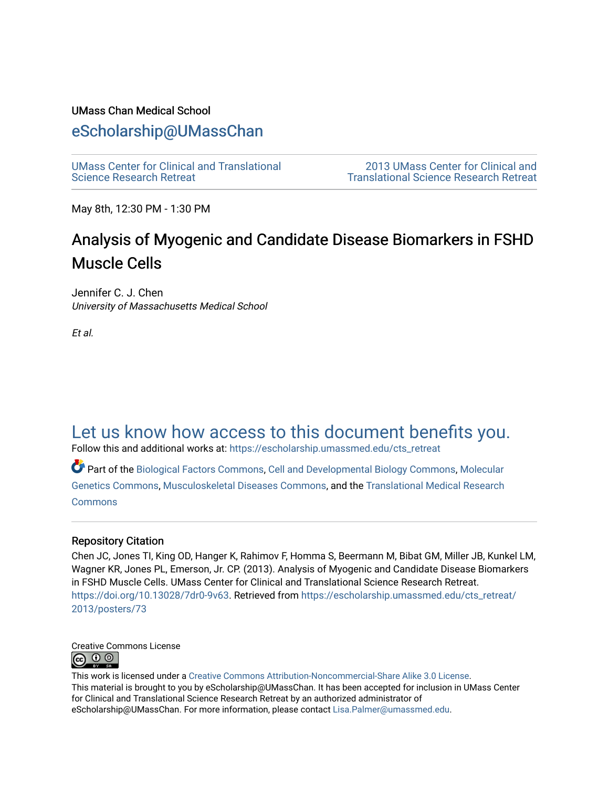### UMass Chan Medical School

### [eScholarship@UMassChan](https://escholarship.umassmed.edu/)

[UMass Center for Clinical and Translational](https://escholarship.umassmed.edu/cts_retreat)  [Science Research Retreat](https://escholarship.umassmed.edu/cts_retreat) 

[2013 UMass Center for Clinical and](https://escholarship.umassmed.edu/cts_retreat/2013)  [Translational Science Research Retreat](https://escholarship.umassmed.edu/cts_retreat/2013) 

May 8th, 12:30 PM - 1:30 PM

# Analysis of Myogenic and Candidate Disease Biomarkers in FSHD Muscle Cells

Jennifer C. J. Chen University of Massachusetts Medical School

Et al.

## [Let us know how access to this document benefits you.](https://arcsapps.umassmed.edu/redcap/surveys/?s=XWRHNF9EJE)

Follow this and additional works at: [https://escholarship.umassmed.edu/cts\\_retreat](https://escholarship.umassmed.edu/cts_retreat?utm_source=escholarship.umassmed.edu%2Fcts_retreat%2F2013%2Fposters%2F73&utm_medium=PDF&utm_campaign=PDFCoverPages) 

Part of the [Biological Factors Commons](http://network.bepress.com/hgg/discipline/930?utm_source=escholarship.umassmed.edu%2Fcts_retreat%2F2013%2Fposters%2F73&utm_medium=PDF&utm_campaign=PDFCoverPages), [Cell and Developmental Biology Commons](http://network.bepress.com/hgg/discipline/8?utm_source=escholarship.umassmed.edu%2Fcts_retreat%2F2013%2Fposters%2F73&utm_medium=PDF&utm_campaign=PDFCoverPages), [Molecular](http://network.bepress.com/hgg/discipline/31?utm_source=escholarship.umassmed.edu%2Fcts_retreat%2F2013%2Fposters%2F73&utm_medium=PDF&utm_campaign=PDFCoverPages)  [Genetics Commons,](http://network.bepress.com/hgg/discipline/31?utm_source=escholarship.umassmed.edu%2Fcts_retreat%2F2013%2Fposters%2F73&utm_medium=PDF&utm_campaign=PDFCoverPages) [Musculoskeletal Diseases Commons](http://network.bepress.com/hgg/discipline/996?utm_source=escholarship.umassmed.edu%2Fcts_retreat%2F2013%2Fposters%2F73&utm_medium=PDF&utm_campaign=PDFCoverPages), and the [Translational Medical Research](http://network.bepress.com/hgg/discipline/1124?utm_source=escholarship.umassmed.edu%2Fcts_retreat%2F2013%2Fposters%2F73&utm_medium=PDF&utm_campaign=PDFCoverPages) [Commons](http://network.bepress.com/hgg/discipline/1124?utm_source=escholarship.umassmed.edu%2Fcts_retreat%2F2013%2Fposters%2F73&utm_medium=PDF&utm_campaign=PDFCoverPages)

### Repository Citation

Chen JC, Jones TI, King OD, Hanger K, Rahimov F, Homma S, Beermann M, Bibat GM, Miller JB, Kunkel LM, Wagner KR, Jones PL, Emerson, Jr. CP. (2013). Analysis of Myogenic and Candidate Disease Biomarkers in FSHD Muscle Cells. UMass Center for Clinical and Translational Science Research Retreat. <https://doi.org/10.13028/7dr0-9v63>. Retrieved from [https://escholarship.umassmed.edu/cts\\_retreat/](https://escholarship.umassmed.edu/cts_retreat/2013/posters/73?utm_source=escholarship.umassmed.edu%2Fcts_retreat%2F2013%2Fposters%2F73&utm_medium=PDF&utm_campaign=PDFCoverPages) [2013/posters/73](https://escholarship.umassmed.edu/cts_retreat/2013/posters/73?utm_source=escholarship.umassmed.edu%2Fcts_retreat%2F2013%2Fposters%2F73&utm_medium=PDF&utm_campaign=PDFCoverPages) 



This work is licensed under a [Creative Commons Attribution-Noncommercial-Share Alike 3.0 License.](http://creativecommons.org/licenses/by-nc-sa/3.0/) This material is brought to you by eScholarship@UMassChan. It has been accepted for inclusion in UMass Center for Clinical and Translational Science Research Retreat by an authorized administrator of eScholarship@UMassChan. For more information, please contact [Lisa.Palmer@umassmed.edu](mailto:Lisa.Palmer@umassmed.edu).